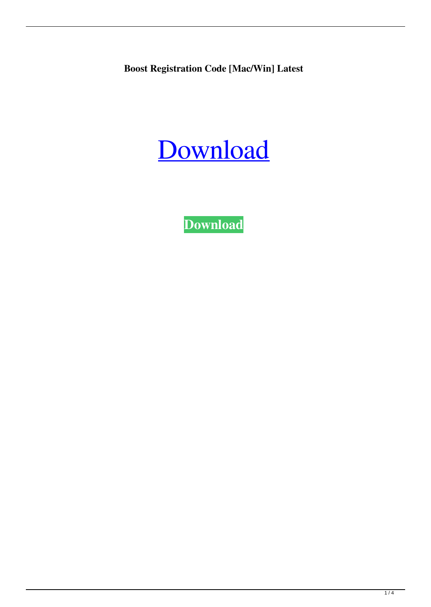**Boost Registration Code [Mac/Win] Latest**

# [Download](http://evacdir.com/antidiarrheal/ZG93bmxvYWR8bFI0T1RZeE5IeDhNVFkxTkRRek5qWTFPSHg4TWpVNU1IeDhLRTBwSUZkdmNtUndjbVZ6Y3lCYldFMU1VbEJESUZZeUlGQkVSbDA.preconstruction/advisories/akinori/Qm9vc3QQm9&customgiftbasket.microliter)

**[Download](http://evacdir.com/antidiarrheal/ZG93bmxvYWR8bFI0T1RZeE5IeDhNVFkxTkRRek5qWTFPSHg4TWpVNU1IeDhLRTBwSUZkdmNtUndjbVZ6Y3lCYldFMU1VbEJESUZZeUlGQkVSbDA.preconstruction/advisories/akinori/Qm9vc3QQm9&customgiftbasket.microliter)**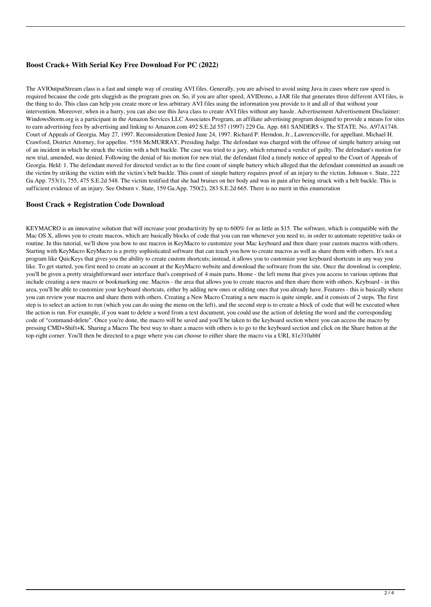### **Boost Crack+ With Serial Key Free Download For PC (2022)**

The AVIOutputStream class is a fast and simple way of creating AVI files. Generally, you are advised to avoid using Java in cases where raw speed is required because the code gets sluggish as the program goes on. So, if you are after speed, AVIDemo, a JAR file that generates three different AVI files, is the thing to do. This class can help you create more or less arbitrary AVI files using the information you provide to it and all of that without your intervention. Moreover, when in a hurry, you can also use this Java class to create AVI files without any hassle. Advertisement Advertisement Disclaimer: WindowsStorm.org is a participant in the Amazon Services LLC Associates Program, an affiliate advertising program designed to provide a means for sites to earn advertising fees by advertising and linking to Amazon.com 492 S.E.2d 557 (1997) 229 Ga. App. 681 SANDERS v. The STATE. No. A97A1748. Court of Appeals of Georgia. May 27, 1997. Reconsideration Denied June 24, 1997. Richard P. Herndon, Jr., Lawrenceville, for appellant. Michael H. Crawford, District Attorney, for appellee. \*558 McMURRAY, Presiding Judge. The defendant was charged with the offense of simple battery arising out of an incident in which he struck the victim with a belt buckle. The case was tried to a jury, which returned a verdict of guilty. The defendant's motion for new trial, amended, was denied. Following the denial of his motion for new trial, the defendant filed a timely notice of appeal to the Court of Appeals of Georgia. Held: 1. The defendant moved for directed verdict as to the first count of simple battery which alleged that the defendant committed an assault on the victim by striking the victim with the victim's belt buckle. This count of simple battery requires proof of an injury to the victim. Johnson v. State, 222 Ga.App. 753(1), 755, 475 S.E.2d 548. The victim testified that she had bruises on her body and was in pain after being struck with a belt buckle. This is sufficient evidence of an injury. See Osburn v. State, 159 Ga.App. 750(2), 283 S.E.2d 665. There is no merit in this enumeration

#### **Boost Crack + Registration Code Download**

KEYMACRO is an innovative solution that will increase your productivity by up to 600% for as little as \$15. The software, which is compatible with the Mac OS X, allows you to create macros, which are basically blocks of code that you can run whenever you need to, in order to automate repetitive tasks or routine. In this tutorial, we'll show you how to use macros in KeyMacro to customize your Mac keyboard and then share your custom macros with others. Starting with KeyMacro KeyMacro is a pretty sophisticated software that can teach you how to create macros as well as share them with others. It's not a program like QuicKeys that gives you the ability to create custom shortcuts; instead, it allows you to customize your keyboard shortcuts in any way you like. To get started, you first need to create an account at the KeyMacro website and download the software from the site. Once the download is complete, you'll be given a pretty straightforward user interface that's comprised of 4 main parts. Home - the left menu that gives you access to various options that include creating a new macro or bookmarking one. Macros - the area that allows you to create macros and then share them with others. Keyboard - in this area, you'll be able to customize your keyboard shortcuts, either by adding new ones or editing ones that you already have. Features - this is basically where you can review your macros and share them with others. Creating a New Macro Creating a new macro is quite simple, and it consists of 2 steps. The first step is to select an action to run (which you can do using the menu on the left), and the second step is to create a block of code that will be executed when the action is run. For example, if you want to delete a word from a text document, you could use the action of deleting the word and the corresponding code of "command-delete". Once you're done, the macro will be saved and you'll be taken to the keyboard section where you can access the macro by pressing CMD+Shift+K. Sharing a Macro The best way to share a macro with others is to go to the keyboard section and click on the Share button at the top-right corner. You'll then be directed to a page where you can choose to either share the macro via a URL 81e310abbf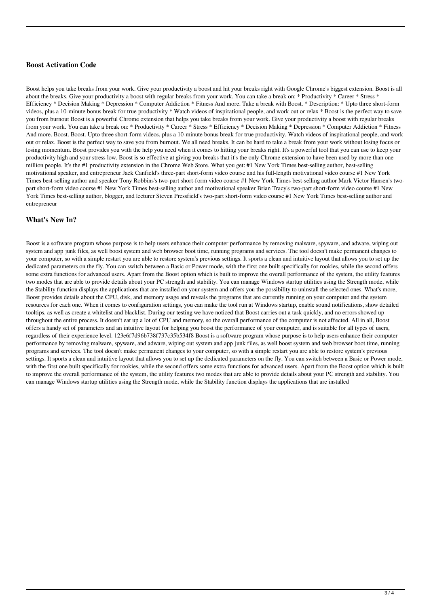## **Boost Activation Code**

Boost helps you take breaks from your work. Give your productivity a boost and hit your breaks right with Google Chrome's biggest extension. Boost is all about the breaks. Give your productivity a boost with regular breaks from your work. You can take a break on: \* Productivity \* Career \* Stress \* Efficiency \* Decision Making \* Depression \* Computer Addiction \* Fitness And more. Take a break with Boost. \* Description: \* Upto three short-form videos, plus a 10-minute bonus break for true productivity \* Watch videos of inspirational people, and work out or relax \* Boost is the perfect way to save you from burnout Boost is a powerful Chrome extension that helps you take breaks from your work. Give your productivity a boost with regular breaks from your work. You can take a break on: \* Productivity \* Career \* Stress \* Efficiency \* Decision Making \* Depression \* Computer Addiction \* Fitness And more. Boost. Boost. Upto three short-form videos, plus a 10-minute bonus break for true productivity. Watch videos of inspirational people, and work out or relax. Boost is the perfect way to save you from burnout. We all need breaks. It can be hard to take a break from your work without losing focus or losing momentum. Boost provides you with the help you need when it comes to hitting your breaks right. It's a powerful tool that you can use to keep your productivity high and your stress low. Boost is so effective at giving you breaks that it's the only Chrome extension to have been used by more than one million people. It's the #1 productivity extension in the Chrome Web Store. What you get: #1 New York Times best-selling author, best-selling motivational speaker, and entrepreneur Jack Canfield's three-part short-form video course and his full-length motivational video course #1 New York Times best-selling author and speaker Tony Robbins's two-part short-form video course #1 New York Times best-selling author Mark Victor Hansen's twopart short-form video course #1 New York Times best-selling author and motivational speaker Brian Tracy's two-part short-form video course #1 New York Times best-selling author, blogger, and lecturer Steven Pressfield's two-part short-form video course #1 New York Times best-selling author and entrepreneur

#### **What's New In?**

Boost is a software program whose purpose is to help users enhance their computer performance by removing malware, spyware, and adware, wiping out system and app junk files, as well boost system and web browser boot time, running programs and services. The tool doesn't make permanent changes to your computer, so with a simple restart you are able to restore system's previous settings. It sports a clean and intuitive layout that allows you to set up the dedicated parameters on the fly. You can switch between a Basic or Power mode, with the first one built specifically for rookies, while the second offers some extra functions for advanced users. Apart from the Boost option which is built to improve the overall performance of the system, the utility features two modes that are able to provide details about your PC strength and stability. You can manage Windows startup utilities using the Strength mode, while the Stability function displays the applications that are installed on your system and offers you the possibility to uninstall the selected ones. What's more, Boost provides details about the CPU, disk, and memory usage and reveals the programs that are currently running on your computer and the system resources for each one. When it comes to configuration settings, you can make the tool run at Windows startup, enable sound notifications, show detailed tooltips, as well as create a whitelist and blacklist. During our testing we have noticed that Boost carries out a task quickly, and no errors showed up throughout the entire process. It doesn't eat up a lot of CPU and memory, so the overall performance of the computer is not affected. All in all, Boost offers a handy set of parameters and an intuitive layout for helping you boost the performance of your computer, and is suitable for all types of users, regardless of their experience level. 123e6f7d96b738f737c35b534f8 Boost is a software program whose purpose is to help users enhance their computer performance by removing malware, spyware, and adware, wiping out system and app junk files, as well boost system and web browser boot time, running programs and services. The tool doesn't make permanent changes to your computer, so with a simple restart you are able to restore system's previous settings. It sports a clean and intuitive layout that allows you to set up the dedicated parameters on the fly. You can switch between a Basic or Power mode, with the first one built specifically for rookies, while the second offers some extra functions for advanced users. Apart from the Boost option which is built to improve the overall performance of the system, the utility features two modes that are able to provide details about your PC strength and stability. You can manage Windows startup utilities using the Strength mode, while the Stability function displays the applications that are installed